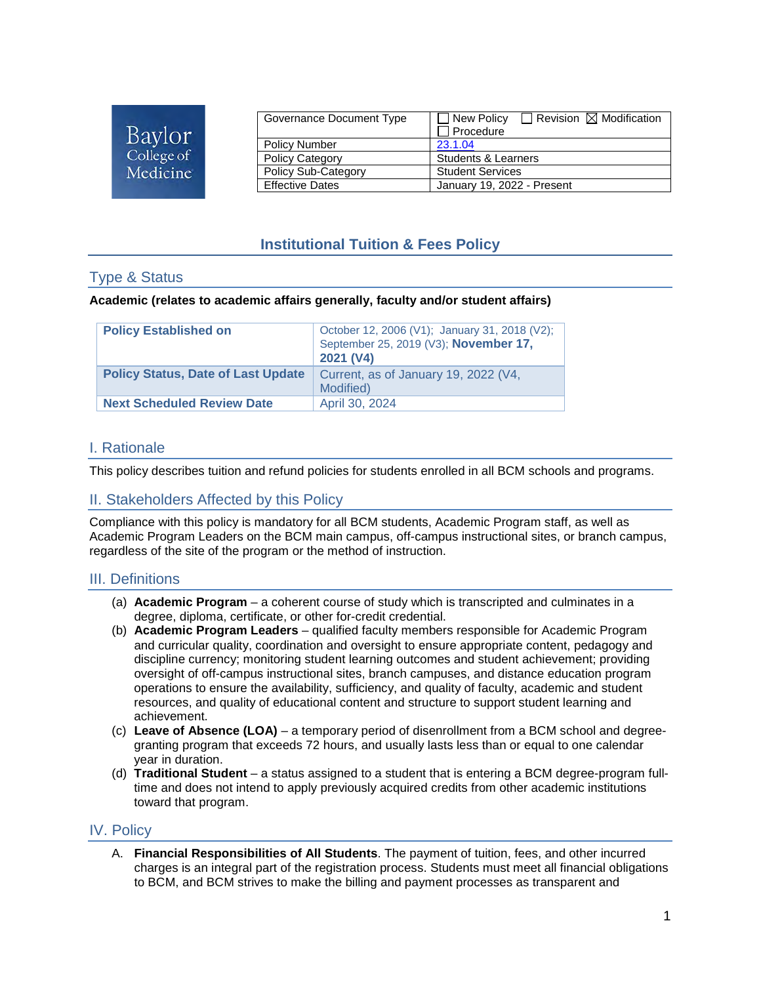| Baylor     |  |
|------------|--|
| College of |  |
| Medicine   |  |

| Governance Document Type | $\Box$ Revision $\boxtimes$ Modification<br>New Policy<br>Procedure |  |
|--------------------------|---------------------------------------------------------------------|--|
| <b>Policy Number</b>     | 23.1.04                                                             |  |
| <b>Policy Category</b>   | Students & Learners                                                 |  |
| Policy Sub-Category      | <b>Student Services</b>                                             |  |
| <b>Effective Dates</b>   | January 19, 2022 - Present                                          |  |

# **Institutional Tuition & Fees Policy**

## Type & Status

#### **Academic (relates to academic affairs generally, faculty and/or student affairs)**

| <b>Policy Established on</b>              | October 12, 2006 (V1); January 31, 2018 (V2);<br>September 25, 2019 (V3); November 17,<br>2021 (V4) |
|-------------------------------------------|-----------------------------------------------------------------------------------------------------|
| <b>Policy Status, Date of Last Update</b> | Current, as of January 19, 2022 (V4,<br>Modified)                                                   |
| <b>Next Scheduled Review Date</b>         | April 30, 2024                                                                                      |

### I. Rationale

This policy describes tuition and refund policies for students enrolled in all BCM schools and programs.

## II. Stakeholders Affected by this Policy

Compliance with this policy is mandatory for all BCM students, Academic Program staff, as well as Academic Program Leaders on the BCM main campus, off-campus instructional sites, or branch campus, regardless of the site of the program or the method of instruction.

### III. Definitions

- (a) **Academic Program** a coherent course of study which is transcripted and culminates in a degree, diploma, certificate, or other for-credit credential.
- (b) **Academic Program Leaders** qualified faculty members responsible for Academic Program and curricular quality, coordination and oversight to ensure appropriate content, pedagogy and discipline currency; monitoring student learning outcomes and student achievement; providing oversight of off-campus instructional sites, branch campuses, and distance education program operations to ensure the availability, sufficiency, and quality of faculty, academic and student resources, and quality of educational content and structure to support student learning and achievement.
- (c) **Leave of Absence (LOA)** a temporary period of disenrollment from a BCM school and degreegranting program that exceeds 72 hours, and usually lasts less than or equal to one calendar year in duration.
- (d) **Traditional Student** a status assigned to a student that is entering a BCM degree-program fulltime and does not intend to apply previously acquired credits from other academic institutions toward that program.

### IV. Policy

A. **Financial Responsibilities of All Students**. The payment of tuition, fees, and other incurred charges is an integral part of the registration process. Students must meet all financial obligations to BCM, and BCM strives to make the billing and payment processes as transparent and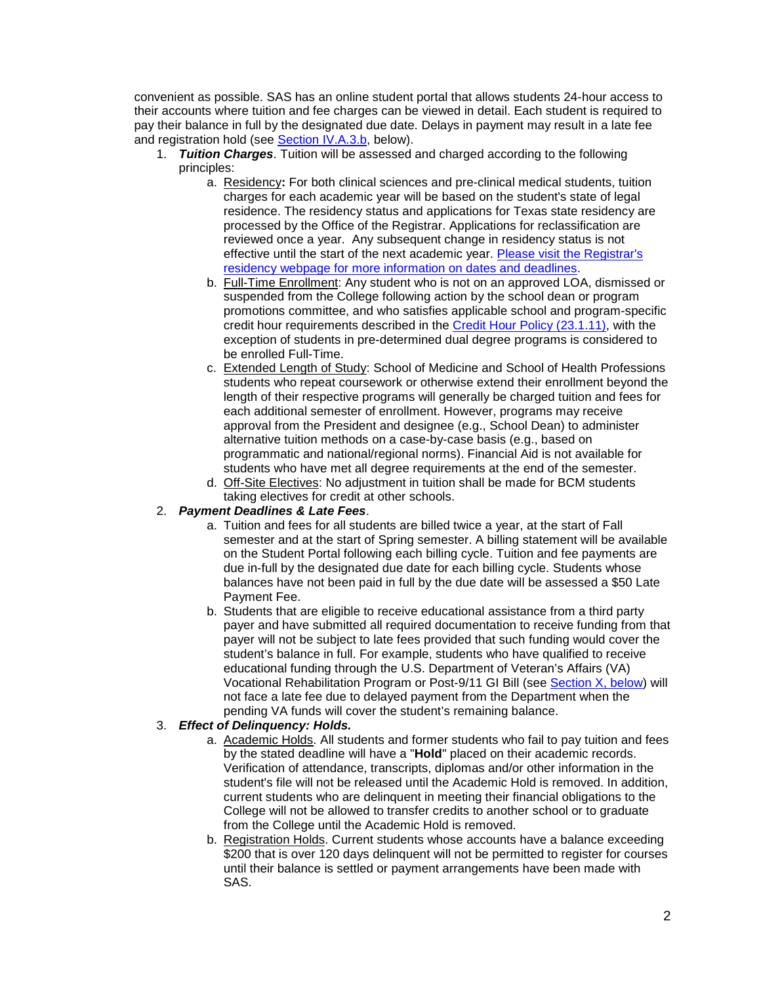convenient as possible. SAS has an online student portal that allows students 24-hour access to their accounts where tuition and fee charges can be viewed in detail. Each student is required to pay their balance in full by the designated due date. Delays in payment may result in a late fee and registration hold (see [Section IV.A.3.b,](#page-1-0) below).

- 1. *Tuition Charges*. Tuition will be assessed and charged according to the following principles:
	- a. Residency**:** For both clinical sciences and pre-clinical medical students, tuition charges for each academic year will be based on the student's state of legal residence. The residency status and applications for Texas state residency are processed by the Office of the Registrar. Applications for reclassification are reviewed once a year. Any subsequent change in residency status is not effective until the start of the next academic year. [Please visit the Registrar's](https://www.bcm.edu/education/registrar/services/tuition-status-texas-residency)  [residency webpage for more information on dates and deadlines.](https://www.bcm.edu/education/registrar/services/tuition-status-texas-residency)
	- b. Full-Time Enrollment: Any student who is not on an approved LOA, dismissed or suspended from the College following action by the school dean or program promotions committee, and who satisfies applicable school and program-specific credit hour requirements described in the [Credit Hour Policy \(23.1.11\),](https://intranet.bcm.edu/policies/index.cfm?fuseaction=Policies.Display_Policy&Policy_Number=23.1.11) with the exception of students in pre-determined dual degree programs is considered to be enrolled Full-Time.
	- c. Extended Length of Study: School of Medicine and School of Health Professions students who repeat coursework or otherwise extend their enrollment beyond the length of their respective programs will generally be charged tuition and fees for each additional semester of enrollment. However, programs may receive approval from the President and designee (e.g., School Dean) to administer alternative tuition methods on a case-by-case basis (e.g., based on programmatic and national/regional norms). Financial Aid is not available for students who have met all degree requirements at the end of the semester.
	- d. Off-Site Electives: No adjustment in tuition shall be made for BCM students taking electives for credit at other schools.

#### <span id="page-1-1"></span>2. *Payment Deadlines & Late Fees*.

- a. Tuition and fees for all students are billed twice a year, at the start of Fall semester and at the start of Spring semester. A billing statement will be available on the Student Portal following each billing cycle. Tuition and fee payments are due in-full by the designated due date for each billing cycle. Students whose balances have not been paid in full by the due date will be assessed a \$50 Late Payment Fee.
- b. Students that are eligible to receive educational assistance from a third party payer and have submitted all required documentation to receive funding from that payer will not be subject to late fees provided that such funding would cover the student's balance in full. For example, students who have qualified to receive educational funding through the U.S. Department of Veteran's Affairs (VA) Vocational Rehabilitation Program or Post-9/11 GI Bill (see [Section X, below\)](#page-7-0) will not face a late fee due to delayed payment from the Department when the pending VA funds will cover the student's remaining balance.

#### 3. *Effect of Delinquency: Holds.*

- a. Academic Holds. All students and former students who fail to pay tuition and fees by the stated deadline will have a "**Hold**" placed on their academic records. Verification of attendance, transcripts, diplomas and/or other information in the student's file will not be released until the Academic Hold is removed. In addition, current students who are delinquent in meeting their financial obligations to the College will not be allowed to transfer credits to another school or to graduate from the College until the Academic Hold is removed.
- <span id="page-1-0"></span>b. Registration Holds. Current students whose accounts have a balance exceeding \$200 that is over 120 days delinquent will not be permitted to register for courses until their balance is settled or payment arrangements have been made with SAS.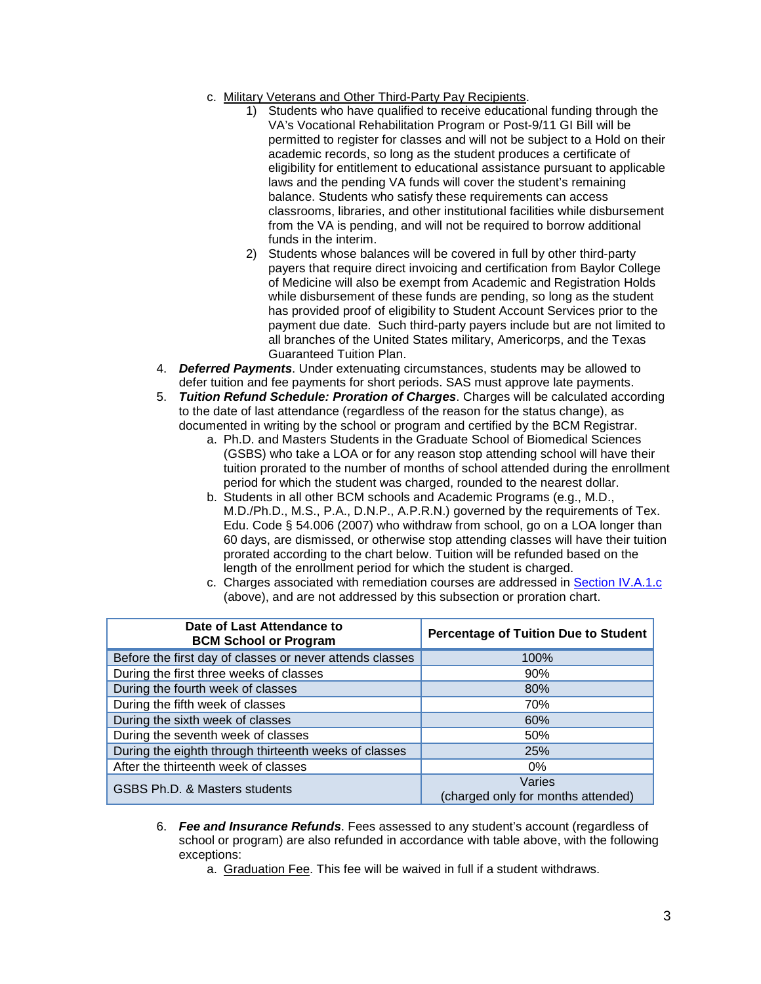- c. Military Veterans and Other Third-Party Pay Recipients.
	- 1) Students who have qualified to receive educational funding through the VA's Vocational Rehabilitation Program or Post-9/11 GI Bill will be permitted to register for classes and will not be subject to a Hold on their academic records, so long as the student produces a certificate of eligibility for entitlement to educational assistance pursuant to applicable laws and the pending VA funds will cover the student's remaining balance. Students who satisfy these requirements can access classrooms, libraries, and other institutional facilities while disbursement from the VA is pending, and will not be required to borrow additional funds in the interim.
	- 2) Students whose balances will be covered in full by other third-party payers that require direct invoicing and certification from Baylor College of Medicine will also be exempt from Academic and Registration Holds while disbursement of these funds are pending, so long as the student has provided proof of eligibility to Student Account Services prior to the payment due date. Such third-party payers include but are not limited to all branches of the United States military, Americorps, and the Texas Guaranteed Tuition Plan.
- 4. *Deferred Payments*. Under extenuating circumstances, students may be allowed to defer tuition and fee payments for short periods. SAS must approve late payments.
- <span id="page-2-0"></span>5. *Tuition Refund Schedule: Proration of Charges*. Charges will be calculated according to the date of last attendance (regardless of the reason for the status change), as documented in writing by the school or program and certified by the BCM Registrar.
	- a. Ph.D. and Masters Students in the Graduate School of Biomedical Sciences (GSBS) who take a LOA or for any reason stop attending school will have their tuition prorated to the number of months of school attended during the enrollment period for which the student was charged, rounded to the nearest dollar.
	- b. Students in all other BCM schools and Academic Programs (e.g., M.D., M.D./Ph.D., M.S., P.A., D.N.P., A.P.R.N.) governed by the requirements of Tex. Edu. Code § 54.006 (2007) who withdraw from school, go on a LOA longer than 60 days, are dismissed, or otherwise stop attending classes will have their tuition prorated according to the chart below. Tuition will be refunded based on the length of the enrollment period for which the student is charged.
	- c. Charges associated with remediation courses are addressed in [Section IV.A.1.c](#page-1-1) (above), and are not addressed by this subsection or proration chart.

| Date of Last Attendance to<br><b>BCM School or Program</b> | <b>Percentage of Tuition Due to Student</b>  |
|------------------------------------------------------------|----------------------------------------------|
| Before the first day of classes or never attends classes   | 100%                                         |
| During the first three weeks of classes                    | 90%                                          |
| During the fourth week of classes                          | 80%                                          |
| During the fifth week of classes                           | 70%                                          |
| During the sixth week of classes                           | 60%                                          |
| During the seventh week of classes                         | 50%                                          |
| During the eighth through thirteenth weeks of classes      | 25%                                          |
| After the thirteenth week of classes                       | $0\%$                                        |
| GSBS Ph.D. & Masters students                              | Varies<br>(charged only for months attended) |

- 6. *Fee and Insurance Refunds*. Fees assessed to any student's account (regardless of school or program) are also refunded in accordance with table above, with the following exceptions:
	- a. Graduation Fee. This fee will be waived in full if a student withdraws.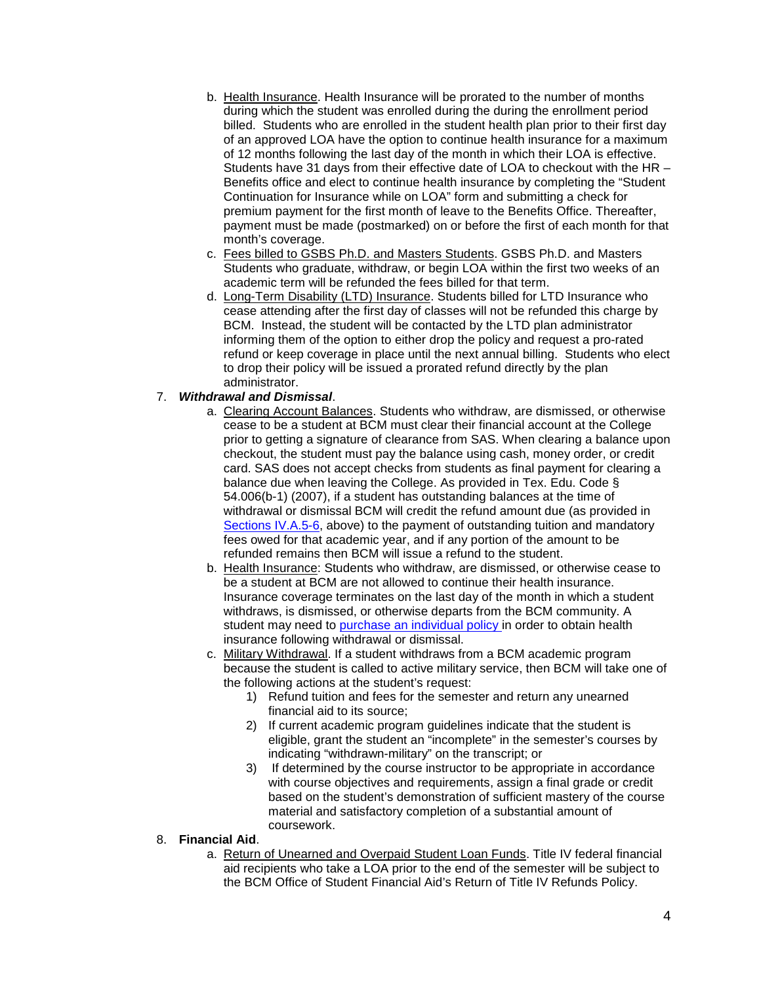- b. Health Insurance. Health Insurance will be prorated to the number of months during which the student was enrolled during the during the enrollment period billed. Students who are enrolled in the student health plan prior to their first day of an approved LOA have the option to continue health insurance for a maximum of 12 months following the last day of the month in which their LOA is effective. Students have 31 days from their effective date of LOA to checkout with the HR – Benefits office and elect to continue health insurance by completing the "Student Continuation for Insurance while on LOA" form and submitting a check for premium payment for the first month of leave to the Benefits Office. Thereafter, payment must be made (postmarked) on or before the first of each month for that month's coverage.
- c. Fees billed to GSBS Ph.D. and Masters Students. GSBS Ph.D. and Masters Students who graduate, withdraw, or begin LOA within the first two weeks of an academic term will be refunded the fees billed for that term.
- d. Long-Term Disability (LTD) Insurance. Students billed for LTD Insurance who cease attending after the first day of classes will not be refunded this charge by BCM. Instead, the student will be contacted by the LTD plan administrator informing them of the option to either drop the policy and request a pro-rated refund or keep coverage in place until the next annual billing. Students who elect to drop their policy will be issued a prorated refund directly by the plan administrator.

### 7. *Withdrawal and Dismissal*.

- a. Clearing Account Balances. Students who withdraw, are dismissed, or otherwise cease to be a student at BCM must clear their financial account at the College prior to getting a signature of clearance from SAS. When clearing a balance upon checkout, the student must pay the balance using cash, money order, or credit card. SAS does not accept checks from students as final payment for clearing a balance due when leaving the College. As provided in Tex. Edu. Code § 54.006(b-1) (2007), if a student has outstanding balances at the time of withdrawal or dismissal BCM will credit the refund amount due (as provided in [Sections IV.A.5-6,](#page-2-0) above) to the payment of outstanding tuition and mandatory fees owed for that academic year, and if any portion of the amount to be refunded remains then BCM will issue a refund to the student.
- b. Health Insurance: Students who withdraw, are dismissed, or otherwise cease to be a student at BCM are not allowed to continue their health insurance. Insurance coverage terminates on the last day of the month in which a student withdraws, is dismissed, or otherwise departs from the BCM community. A student may need to [purchase an individual policy i](https://intranet.bcm.edu/?fuseaction=home.showpage&tmp=hr/benefits/students/enrollorwaive)n order to obtain health insurance following withdrawal or dismissal.
- c. Military Withdrawal. If a student withdraws from a BCM academic program because the student is called to active military service, then BCM will take one of the following actions at the student's request:
	- 1) Refund tuition and fees for the semester and return any unearned financial aid to its source;
	- 2) If current academic program guidelines indicate that the student is eligible, grant the student an "incomplete" in the semester's courses by indicating "withdrawn-military" on the transcript; or
	- 3) If determined by the course instructor to be appropriate in accordance with course objectives and requirements, assign a final grade or credit based on the student's demonstration of sufficient mastery of the course material and satisfactory completion of a substantial amount of coursework.
- 8. **Financial Aid**.
	- a. Return of Unearned and Overpaid Student Loan Funds. Title IV federal financial aid recipients who take a LOA prior to the end of the semester will be subject to the BCM Office of Student Financial Aid's Return of Title IV Refunds Policy.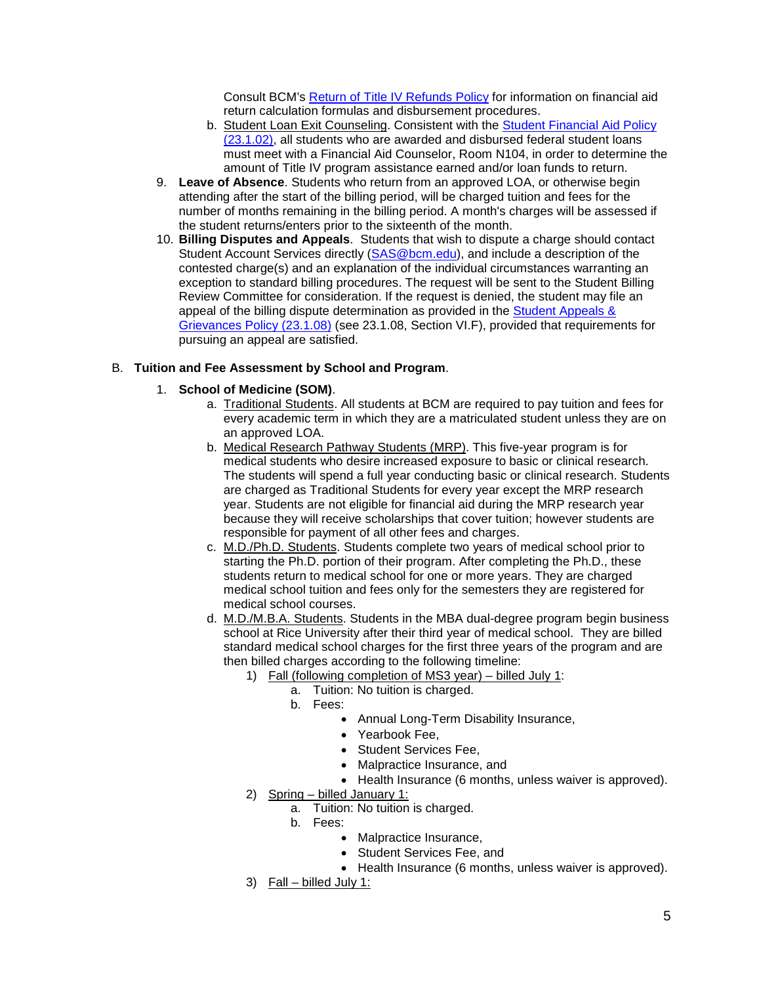Consult BCM's [Return of Title IV Refunds Policy](https://cdn.bcm.edu/sites/default/files/2021-06/r2t4-policy-for-web.pdf) for information on financial aid return calculation formulas and disbursement procedures.

- b. Student Loan Exit Counseling. Consistent with the [Student Financial Aid Policy](https://intranet.bcm.edu/index.cfm?fuseaction=Policies.Display_Policy&Policy_Number=23.1.02)  [\(23.1.02\),](https://intranet.bcm.edu/index.cfm?fuseaction=Policies.Display_Policy&Policy_Number=23.1.02) all students who are awarded and disbursed federal student loans must meet with a Financial Aid Counselor, Room N104, in order to determine the amount of Title IV program assistance earned and/or loan funds to return.
- 9. **Leave of Absence**. Students who return from an approved LOA, or otherwise begin attending after the start of the billing period, will be charged tuition and fees for the number of months remaining in the billing period. A month's charges will be assessed if the student returns/enters prior to the sixteenth of the month.
- 10. **Billing Disputes and Appeals**. Students that wish to dispute a charge should contact Student Account Services directly [\(SAS@bcm.edu\)](mailto:SAS@bcm.edu), and include a description of the contested charge(s) and an explanation of the individual circumstances warranting an exception to standard billing procedures. The request will be sent to the Student Billing Review Committee for consideration. If the request is denied, the student may file an appeal of the billing dispute determination as provided in the [Student Appeals &](http://intranet.bcm.edu/index.cfm?fuseaction=Policies.Display_Policy&Policy_Number=23.1.08)  [Grievances Policy \(23.1.08\)](http://intranet.bcm.edu/index.cfm?fuseaction=Policies.Display_Policy&Policy_Number=23.1.08) (see 23.1.08, Section VI.F), provided that requirements for pursuing an appeal are satisfied.

### B. **Tuition and Fee Assessment by School and Program**.

#### 1. **School of Medicine (SOM)**.

- a. Traditional Students. All students at BCM are required to pay tuition and fees for every academic term in which they are a matriculated student unless they are on an approved LOA.
- b. Medical Research Pathway Students (MRP). This five-year program is for medical students who desire increased exposure to basic or clinical research. The students will spend a full year conducting basic or clinical research. Students are charged as Traditional Students for every year except the MRP research year. Students are not eligible for financial aid during the MRP research year because they will receive scholarships that cover tuition; however students are responsible for payment of all other fees and charges.
- c. M.D./Ph.D. Students. Students complete two years of medical school prior to starting the Ph.D. portion of their program. After completing the Ph.D., these students return to medical school for one or more years. They are charged medical school tuition and fees only for the semesters they are registered for medical school courses.
- d. M.D./M.B.A. Students. Students in the MBA dual-degree program begin business school at Rice University after their third year of medical school. They are billed standard medical school charges for the first three years of the program and are then billed charges according to the following timeline:
	- 1) Fall (following completion of MS3 year) billed July 1:
		- a. Tuition: No tuition is charged.
			- b. Fees:
				- Annual Long-Term Disability Insurance,
				- Yearbook Fee,
				- Student Services Fee,
				- Malpractice Insurance, and
				- Health Insurance (6 months, unless waiver is approved).
	- 2) Spring billed January 1:
		- a. Tuition: No tuition is charged.
		- b. Fees:
			- Malpractice Insurance,
			- Student Services Fee, and
			- Health Insurance (6 months, unless waiver is approved).
	- 3) Fall billed July 1: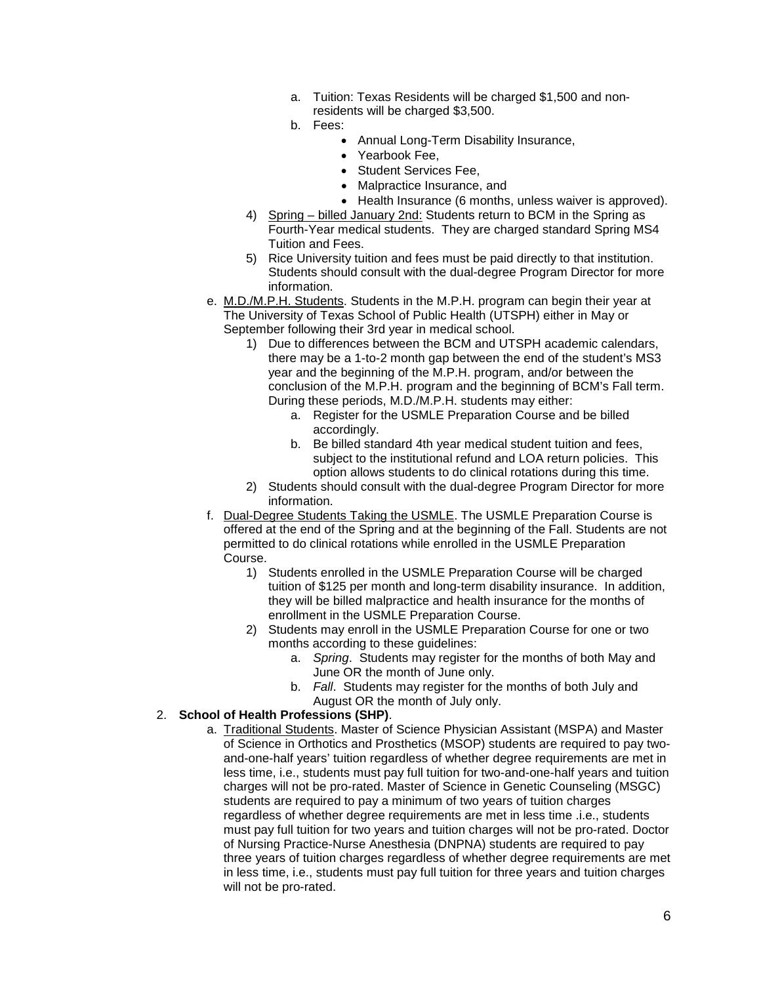- a. Tuition: Texas Residents will be charged \$1,500 and nonresidents will be charged \$3,500.
- b. Fees:
	- Annual Long-Term Disability Insurance,
	- Yearbook Fee,
	- Student Services Fee,
	- Malpractice Insurance, and
	- Health Insurance (6 months, unless waiver is approved).
- 4) Spring billed January 2nd: Students return to BCM in the Spring as Fourth-Year medical students. They are charged standard Spring MS4 Tuition and Fees.
- 5) Rice University tuition and fees must be paid directly to that institution. Students should consult with the dual-degree Program Director for more information.
- e. M.D./M.P.H. Students. Students in the M.P.H. program can begin their year at The University of Texas School of Public Health (UTSPH) either in May or September following their 3rd year in medical school.
	- 1) Due to differences between the BCM and UTSPH academic calendars, there may be a 1-to-2 month gap between the end of the student's MS3 year and the beginning of the M.P.H. program, and/or between the conclusion of the M.P.H. program and the beginning of BCM's Fall term. During these periods, M.D./M.P.H. students may either:
		- a. Register for the USMLE Preparation Course and be billed accordingly.
		- b. Be billed standard 4th year medical student tuition and fees, subject to the institutional refund and LOA return policies. This option allows students to do clinical rotations during this time.
	- 2) Students should consult with the dual-degree Program Director for more information.
- f. Dual-Degree Students Taking the USMLE. The USMLE Preparation Course is offered at the end of the Spring and at the beginning of the Fall. Students are not permitted to do clinical rotations while enrolled in the USMLE Preparation Course.
	- 1) Students enrolled in the USMLE Preparation Course will be charged tuition of \$125 per month and long-term disability insurance. In addition, they will be billed malpractice and health insurance for the months of enrollment in the USMLE Preparation Course.
	- 2) Students may enroll in the USMLE Preparation Course for one or two months according to these guidelines:
		- a. *Spring*. Students may register for the months of both May and June OR the month of June only.
		- b. *Fall*. Students may register for the months of both July and August OR the month of July only.

### 2. **School of Health Professions (SHP)**.

a. Traditional Students. Master of Science Physician Assistant (MSPA) and Master of Science in Orthotics and Prosthetics (MSOP) students are required to pay twoand-one-half years' tuition regardless of whether degree requirements are met in less time, i.e., students must pay full tuition for two-and-one-half years and tuition charges will not be pro-rated. Master of Science in Genetic Counseling (MSGC) students are required to pay a minimum of two years of tuition charges regardless of whether degree requirements are met in less time .i.e., students must pay full tuition for two years and tuition charges will not be pro-rated. Doctor of Nursing Practice-Nurse Anesthesia (DNPNA) students are required to pay three years of tuition charges regardless of whether degree requirements are met in less time, i.e., students must pay full tuition for three years and tuition charges will not be pro-rated.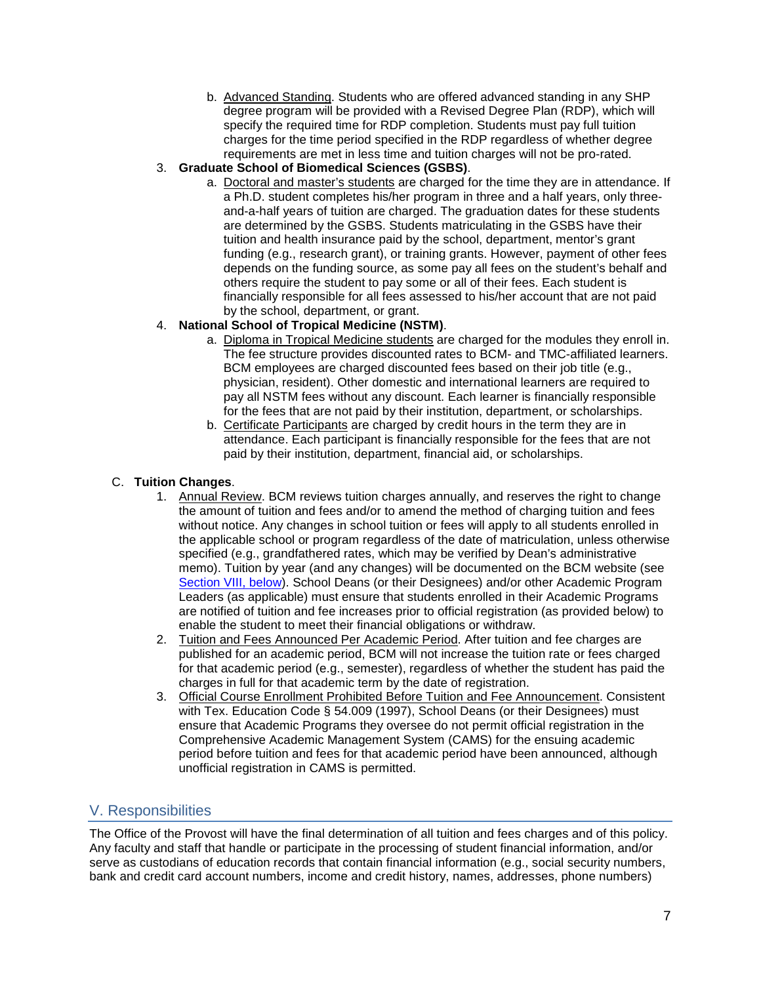b. Advanced Standing. Students who are offered advanced standing in any SHP degree program will be provided with a Revised Degree Plan (RDP), which will specify the required time for RDP completion. Students must pay full tuition charges for the time period specified in the RDP regardless of whether degree requirements are met in less time and tuition charges will not be pro-rated.

### 3. **Graduate School of Biomedical Sciences (GSBS)**.

a. Doctoral and master's students are charged for the time they are in attendance. If a Ph.D. student completes his/her program in three and a half years, only threeand-a-half years of tuition are charged. The graduation dates for these students are determined by the GSBS. Students matriculating in the GSBS have their tuition and health insurance paid by the school, department, mentor's grant funding (e.g., research grant), or training grants. However, payment of other fees depends on the funding source, as some pay all fees on the student's behalf and others require the student to pay some or all of their fees. Each student is financially responsible for all fees assessed to his/her account that are not paid by the school, department, or grant.

## 4. **National School of Tropical Medicine (NSTM)**.

- a. Diploma in Tropical Medicine students are charged for the modules they enroll in. The fee [structure](https://www.bcm.edu/education/schools/national-school-of-tropical-medicine/education/diploma-tropical-medicine/admissions) provides discounted rates to BCM- and TMC-affiliated learners. BCM employees are charged discounted fees based on their job title (e.g., physician, resident). Other domestic and international learners are required to pay all NSTM fees without any discount. Each learner is financially responsible for the fees that are not paid by their institution, department, or scholarships.
- b. Certificate Participants are charged by credit hours in the term they are in attendance. Each participant is financially responsible for the fees that are not paid by their institution, department, financial aid, or scholarships.

## C. **Tuition Changes**.

- 1. Annual Review. BCM reviews tuition charges annually, and reserves the right to change the amount of tuition and fees and/or to amend the method of charging tuition and fees without notice. Any changes in school tuition or fees will apply to all students enrolled in the applicable school or program regardless of the date of matriculation, unless otherwise specified (e.g., grandfathered rates, which may be verified by Dean's administrative memo). Tuition by year (and any changes) will be documented on the BCM website (see [Section VIII, below\)](#page-7-1). School Deans (or their Designees) and/or other Academic Program Leaders (as applicable) must ensure that students enrolled in their Academic Programs are notified of tuition and fee increases prior to official registration (as provided below) to enable the student to meet their financial obligations or withdraw.
- 2. Tuition and Fees Announced Per Academic Period. After tuition and fee charges are published for an academic period, BCM will not increase the tuition rate or fees charged for that academic period (e.g., semester), regardless of whether the student has paid the charges in full for that academic term by the date of registration.
- 3. Official Course Enrollment Prohibited Before Tuition and Fee Announcement. Consistent with Tex. Education Code § 54.009 (1997), School Deans (or their Designees) must ensure that Academic Programs they oversee do not permit official registration in the Comprehensive Academic Management System (CAMS) for the ensuing academic period before tuition and fees for that academic period have been announced, although unofficial registration in CAMS is permitted.

## V. Responsibilities

The Office of the Provost will have the final determination of all tuition and fees charges and of this policy. Any faculty and staff that handle or participate in the processing of student financial information, and/or serve as custodians of education records that contain financial information (e.g., social security numbers, bank and credit card account numbers, income and credit history, names, addresses, phone numbers)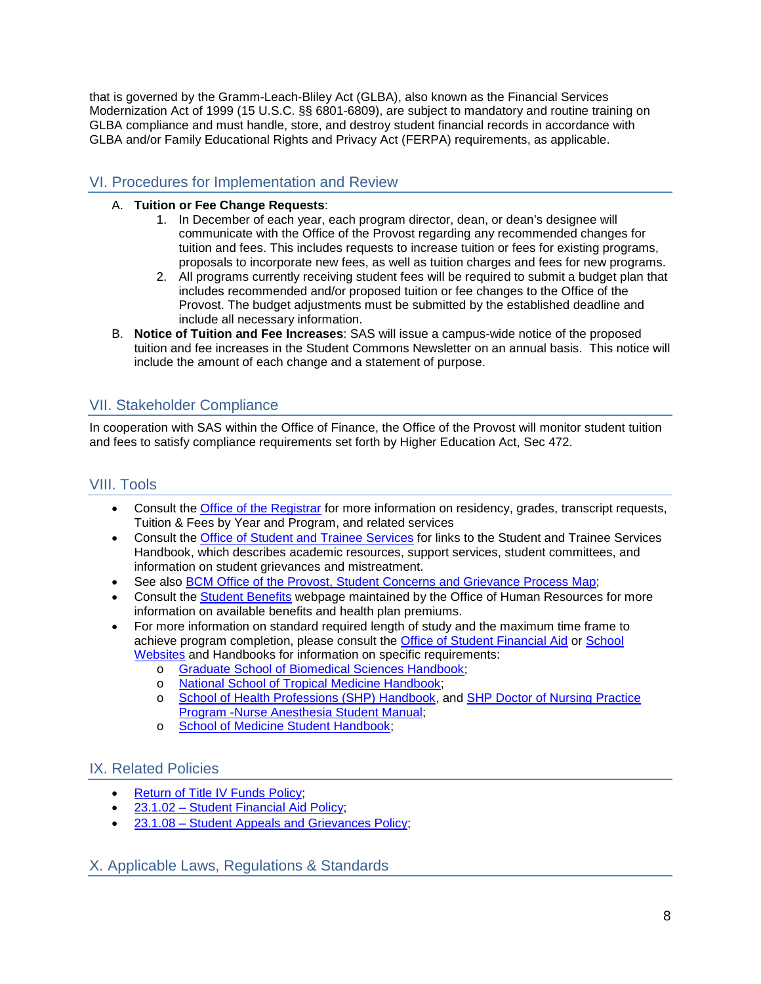that is governed by the Gramm-Leach-Bliley Act (GLBA), also known as the Financial Services Modernization Act of 1999 (15 U.S.C. §§ 6801-6809), are subject to mandatory and routine training on GLBA compliance and must handle, store, and destroy student financial records in accordance with GLBA and/or Family Educational Rights and Privacy Act (FERPA) requirements, as applicable.

## VI. Procedures for Implementation and Review

## A. **Tuition or Fee Change Requests**:

- 1. In December of each year, each program director, dean, or dean's designee will communicate with the Office of the Provost regarding any recommended changes for tuition and fees. This includes requests to increase tuition or fees for existing programs, proposals to incorporate new fees, as well as tuition charges and fees for new programs.
- 2. All programs currently receiving student fees will be required to submit a budget plan that includes recommended and/or proposed tuition or fee changes to the Office of the Provost. The budget adjustments must be submitted by the established deadline and include all necessary information.
- B. **Notice of Tuition and Fee Increases**: SAS will issue a campus-wide notice of the proposed tuition and fee increases in the Student Commons Newsletter on an annual basis. This notice will include the amount of each change and a statement of purpose.

# VII. Stakeholder Compliance

In cooperation with SAS within the Office of Finance, the Office of the Provost will monitor student tuition and fees to satisfy compliance requirements set forth by Higher Education Act, Sec 472.

# <span id="page-7-1"></span>VIII. Tools

- Consult the [Office of the Registrar](https://www.bcm.edu/education/registrar) for more information on residency, grades, transcript requests, Tuition & Fees by Year and Program, and related services
- Consult the [Office of Student and Trainee Services](https://www.bcm.edu/education/academic-faculty-affairs/student-services) for links to the Student and Trainee Services Handbook, which describes academic resources, support services, student committees, and information on student grievances and mistreatment.
- See also [BCM Office of the Provost, Student Concerns and Grievance Process Map;](http://intranet.bcm.edu/policies/StudentGrievancesProcess.pdf)
- Consult the [Student Benefits](https://www.bcm.edu/careers/benefits/student-benefits) webpage maintained by the Office of Human Resources for more information on available benefits and health plan premiums.
- For more information on standard required length of study and the maximum time frame to achieve program completion, please consult the [Office of Student Financial Aid](https://www.bcm.edu/education/financial-aid) or [School](https://www.bcm.edu/education/schools) [Websites](https://www.bcm.edu/education/schools) and Handbooks for information on specific requirements:
	- o [Graduate School of Biomedical Sciences Handbook;](https://cdn.bcm.edu/sites/default/files/2021-07/graduate-school-of-biomedical-sciences-policy-handbook-2021.pdf)
	- o [National School of Tropical Medicine Handbook;](https://cdn.bcm.edu/sites/default/files/2021-09/nstm-policies-procedures-and-guidelines-version-4.pdf)
	- o [School of Health Professions \(SHP\) Handbook,](https://www.bcm.edu/education/school-of-health-professions/students-resources/student-handbook) and [SHP Doctor of Nursing Practice](https://media.bcm.edu/documents/2019/01/dnp-student-manual-2019-0624.pdf)  [Program -Nurse Anesthesia Student Manual;](https://media.bcm.edu/documents/2019/01/dnp-student-manual-2019-0624.pdf)
	- o [School of Medicine Student Handbook;](https://www.bcm.edu/education/school-of-medicine/m-d-program/student-handbook)

## IX. Related Policies

- [Return of Title IV Funds Policy;](https://cdn.bcm.edu/sites/default/files/2021-06/r2t4-policy-for-web.pdf)
- [23.1.02 Student Financial Aid](https://intranet.bcm.edu/index.cfm?fuseaction=Policies.Display_Policy&Policy_Number=23.1.02) Policy;
- [23.1.08 Student Appeals and Grievances Policy;](http://intranet.bcm.edu/index.cfm?fuseaction=Policies.Display_Policy&Policy_Number=23.1.08)

<span id="page-7-0"></span>X. Applicable Laws, Regulations & Standards